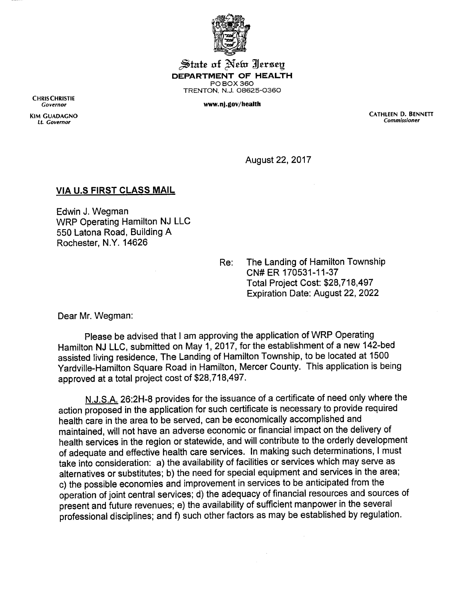

 $\mathcal{\mathcal{S}}$ tate of  $\mathcal{\mathcal{N}}$ elw  $\mathcal{\mathcal{J}}$ ersey *DEPARTMENT OF HEALTH* POBOX360 TRENTON, N.J. 08625-0360

**Governor** *www.nj.gov/health*

CHRISCHRISTIE<br>Governor

KIM GUADAGNO CATHLEEN D. BENNETT **LI. Governor Commissioner**

August 22, 2017

## *VIA U.S FIRST CLASS MAIL*

Edwin J. Wegman WRP Operating Hamilton NJ LLC 550 Latona Road, Building A Rochester, N.Y. 14626

> Re: The Landing of Hamilton Township CN#ER 170531-11-37 Total Project Cost: \$28,718,497 Expiration Date: August 22, 2022

Dear Mr. Wegman:

Please be advised that I am approving the application of WRP Operating Hamilton NJ LLC, submitted on May 1, 2017, for the establishment of a new 142-bed assisted living residence, The Landing of Hamilton Township, to be located at 1500 Yardville-Hamilton Square Road in Hamilton, Mercer County. This application is being approved at a total project cost of \$28,718,497.

N.J.S.A. 26:2H-8 provides for the issuance of a certificate of need only where the action proposed in the application for such certificate is necessary to provide required health care in the area to be served, can be economically accomplished and maintained, will not have an adverse economic or financial impact on the delivery of health services in the region or statewide, and will contribute to the orderly development of adequate and effective health care services. In making such determinations, Imust take into consideration: a) the availability of facilities or services which may serve as alternatives or substitutes; b) the need for special equipment and services in the area; c) the possible economies and improvement in services to be anticipated from the operation of joint central services; d) the adequacy of financial resources and sources of present and future revenues; e) the availability of sufficient manpower in the several professional disciplines; and f) such other factors as may be established by regulation.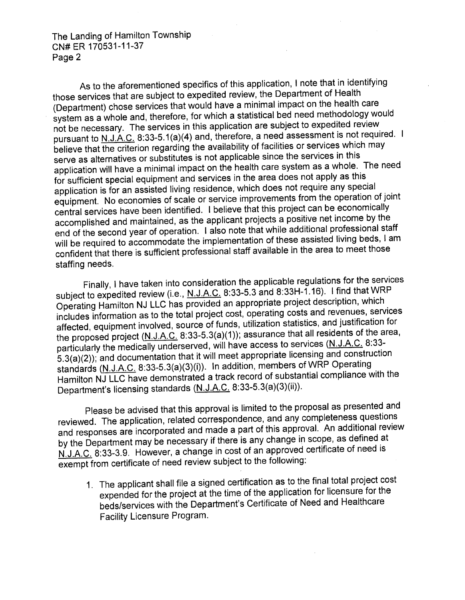The Landing of Hamilton Township CN#ER 170531-11-37 Page 2

As to the aforementioned specifics of this application, I note that in identifying those services that are subject to expedited review, the Department of Health (Department) chose services that would have a minimal impact on the health care system as a whole and, therefore, for which a statistical bed need methodology would not be necessary. The services in this application are subject to expedited review pursuant to N.J.A.C. 8:33-5.1(a)(4) and, therefore, a need assessment is not required. I believe that the criterion regarding the availability of facilities or services which may serve as alternatives or substitutes is not applicable since the services in this application will have aminimal impact on the health care system as awhole. The need for sufficient special equipment and services in the area does not apply as this application is for an assisted living residence, which does not require any special equipment. No economies of scale or service improvements from the operation of joint central services have been identified. I believe that this project can be economically accomplished and maintained, as the applicant proj end of the second year of operation. I also note that while additional professional staff will be required to accommodate the implementation of these assisted living beds, Iam confident that there is sufficient professional staff available in the area to meet those staffing needs.

Finally, I have taken into consideration the applicable regulations for the services subject to expedited review (i.e., N.J.A.C. 8:33-5.3 and 8:33H-1.16). I find that WRP Operating Hamilton NJ LLC has provided an appropriate project description, which includes information as to the total project cost, operating costs and revenues, services affected, equipment involved, source of funds, utilization statistics, and justification for the proposed project (N.J.A.C. 8:33-5.3(a)(1)); assurance that all residents of the area, particularly the medically underserved, will have access to services (N.J.A.C. 8.33- 53(a)(2))- and documentation that it will meet appropriate licensing and construction standards (N.J.A.C. 8:33-5.3(a)(3)(i)). In addition, members of WRP Operating Hamilton NJ LLC have demonstrated a track record of substantial compliance with the Department's licensing standards (N.J.A.C. 8:33-5.3(a)(3)(ii)).

Please be advised that this approval is limited to the proposal as presented and<br>reviewed. The application, related correspondence, and any completeness questions and responses are incorporated and made a part of this approval. An additional review by the Department may be necessary if there is any change in scope, as defined at N.J.A.C. 8:33-3.9. However, a change in cost of an approved certificate of need is exempt from certificate of need review subject to the following:

1 The applicant shall file a signed certification as to the final total project cost expended for the project at the time of the application for licensure for the beds/services with the Department's Certificate of Need and Healthcare Facility Licensure Program.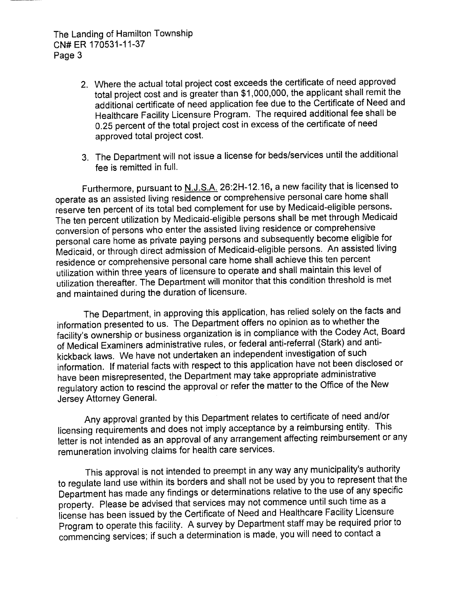The Landing of Hamilton Township CN#ER 170531-11-37 Page 3

- 2. Where the actual total project cost exceeds the certificate of need approved total project cost and is greater than \$1,000,000, the applicant shall remit the additional certificate of need application fee due to the Certificate of Need and Healthcare Facility Licensure Program. The required additional fee shall be 0.25 percent of the total project cost in excess of the certificate of need approved total project cost.
- 3. The Department will not issue a license for beds/services until the additional fee is remitted in full.

Furthermore, pursuant to N.J.S.A. 26:2H-12.16, a new facility that is licensed to operate as an assisted living residence or comprehensive personal care home shall reserve ten percent of its total bed complement for use by Medicaid-eligible persons. The ten percent utilization by Medicaid-eligible persons shall be met through Medicaid personal care home as private paying persons and subsequently become eligible for Medicaid, orthrough direct admission of Medicaid-eligible persons. An assisted living residence or comprehensive personal care home shall achieve this ten percent utilization within three years of licensure to operate and shall maintain this level of utilization thereafter. The Department will monitor that this condition threshold is met and maintained during the duration of licensure.

The Department, in approving this application, has relied solely on the facts and information presented to us. The Department offers no opinion as to whether the facility's ownership or business organization is in compliance with the Codey Act, Board of Medical Examiners administrative rules, or federal anti-referral (Stark) and antikickback laws. We have not undertaken an independent investigation of such information. If material facts with respect to this application have not been disclosed or have been misrepresented, the Department may take appropriate administrative regulatory action to rescind the approval or refer the matter to the Office of the New Jersey Attorney General.

Any approval granted by this Department relates to certificate of need and/or licensing requirements and does not imply acceptance by a reimbursing entity. This letter is not intended as an approval of any arrangement affecting reimbursement or any remuneration involving claims for health care services.

This approval is not intended to preempt in any way any municipality's authority to regulate land use within its borders and shall not be used by you to represent that the Department has made any findings or determinations relative to the use of any specific property. Please be advised that services may not commence until such time as a license has been issued by the Certificate of Need and Healthcare Facility Licensure Program to operate this facility. A survey by Department staff may be required prior to commencing services; if such a determination is made, you will need to contact a